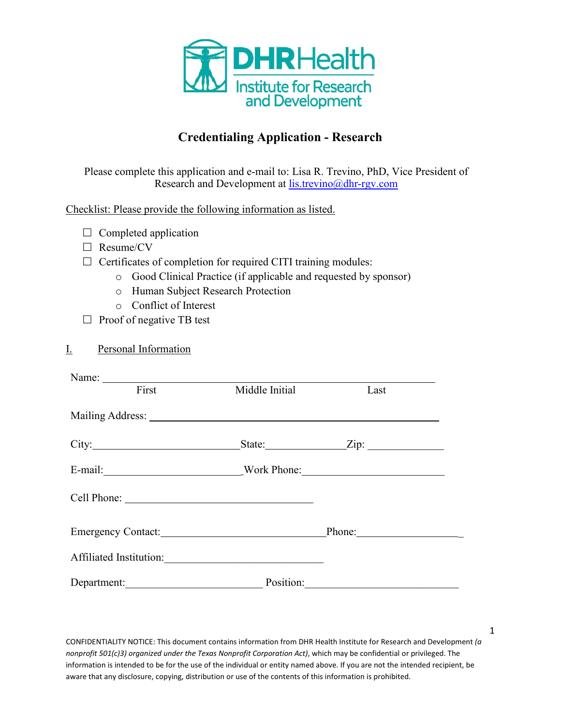

# **Credentialing Application - Research**

Please complete this application and e-mail to: Lisa R. Trevino, PhD, Vice President of Research and Development at [lis.trevino@dhr-rgv.com](mailto:lis.trevino@dhr-rgv.com)

Checklist: Please provide the following information as listed.

- $\Box$  Completed application
- □ Resume/CV
- $\Box$  Certificates of completion for required CITI training modules:
	- o Good Clinical Practice (if applicable and requested by sponsor)
	- o Human Subject Research Protection
	- o Conflict of Interest
- $\Box$  Proof of negative TB test

|--|

| First               | Middle Initial | Last                               |  |
|---------------------|----------------|------------------------------------|--|
|                     |                |                                    |  |
|                     |                | State: $\qquad \qquad \text{Zip:}$ |  |
| E-mail: Work Phone: |                |                                    |  |
|                     |                |                                    |  |
| Emergency Contact:  |                |                                    |  |
|                     |                |                                    |  |
| Department:         |                | Position:                          |  |

CONFIDENTIALITY NOTICE: This document contains information from DHR Health Institute for Research and Development *(a nonprofit 501(c)3) organized under the Texas Nonprofit Corporation Act)*, which may be confidential or privileged. The information is intended to be for the use of the individual or entity named above. If you are not the intended recipient, be aware that any disclosure, copying, distribution or use of the contents of this information is prohibited.

1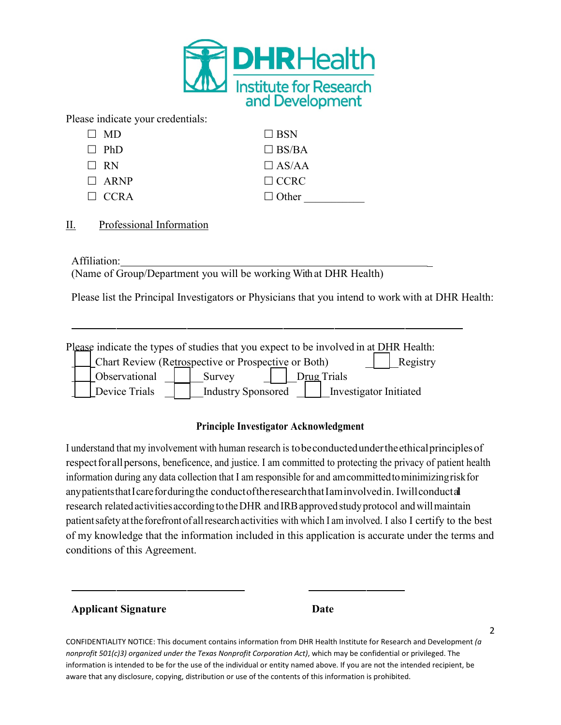

Please indicate your credentials:

| $\Box$ MD   | $\Box$ BSN   |
|-------------|--------------|
| $\Box$ PhD  | $\Box$ BS/BA |
| $\Box$ RN   | $\Box$ AS/AA |
| $\Box$ ARNP | $\Box$ CCRC  |
| $\Box$ CCRA | $\Box$ Other |

II. Professional Information

Affiliation: \_

(Name of Group/Department you will be working With at DHR Health)

Please list the Principal Investigators or Physicians that you intend to work with at DHR Health:

| Please indicate the types of studies that you expect to be involved in at DHR Health: |                                                                 |               |  |                           |  |  |                        |  |  |  |
|---------------------------------------------------------------------------------------|-----------------------------------------------------------------|---------------|--|---------------------------|--|--|------------------------|--|--|--|
|                                                                                       | Chart Review (Retrospective or Prospective or Both)<br>Registry |               |  |                           |  |  |                        |  |  |  |
|                                                                                       |                                                                 | Observational |  | Survey                    |  |  | Drug Trials            |  |  |  |
|                                                                                       |                                                                 | Device Trials |  | <b>Industry Sponsored</b> |  |  | Investigator Initiated |  |  |  |

#### **Principle Investigator Acknowledgment**

I understand that my involvement with human research is to be conducted under the ethical principles of respect for all persons, beneficence, and justice. I am committed to protecting the privacy of patient health information during any data collection that I am responsible for and amcommittedtominimizingriskfor any patients that I care for during the conduct of the research that I am involved in. I will conduct all research related activities according to the DHR and IRB approved study protocol and will maintain patient safety at the forefront of all research activities with which I am involved. I also I certify to the best of my knowledge that the information included in this application is accurate under the terms and conditions of this Agreement.

#### **Applicant Signature Date**

2

CONFIDENTIALITY NOTICE: This document contains information from DHR Health Institute for Research and Development *(a nonprofit 501(c)3) organized under the Texas Nonprofit Corporation Act)*, which may be confidential or privileged. The information is intended to be for the use of the individual or entity named above. If you are not the intended recipient, be aware that any disclosure, copying, distribution or use of the contents of this information is prohibited.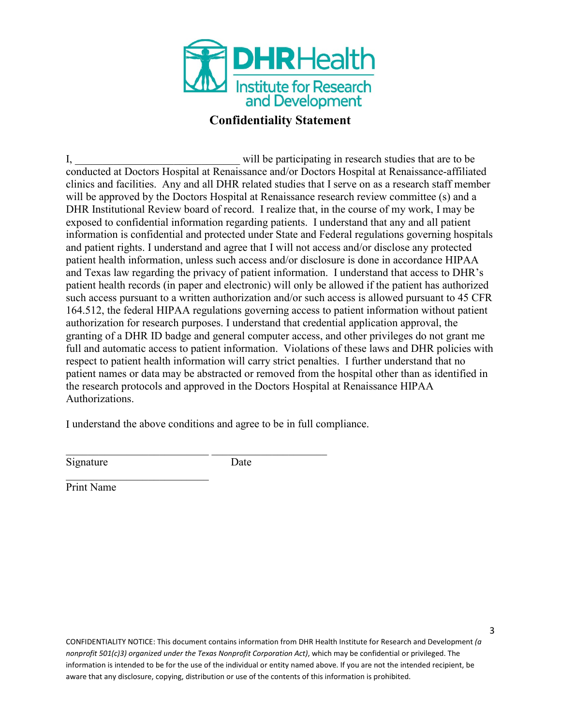

## **Confidentiality Statement**

I, will be participating in research studies that are to be conducted at Doctors Hospital at Renaissance and/or Doctors Hospital at Renaissance-affiliated clinics and facilities. Any and all DHR related studies that I serve on as a research staff member will be approved by the Doctors Hospital at Renaissance research review committee (s) and a DHR Institutional Review board of record. I realize that, in the course of my work, I may be exposed to confidential information regarding patients. I understand that any and all patient information is confidential and protected under State and Federal regulations governing hospitals and patient rights. I understand and agree that I will not access and/or disclose any protected patient health information, unless such access and/or disclosure is done in accordance HIPAA and Texas law regarding the privacy of patient information. I understand that access to DHR's patient health records (in paper and electronic) will only be allowed if the patient has authorized such access pursuant to a written authorization and/or such access is allowed pursuant to 45 CFR 164.512, the federal HIPAA regulations governing access to patient information without patient authorization for research purposes. I understand that credential application approval, the granting of a DHR ID badge and general computer access, and other privileges do not grant me full and automatic access to patient information. Violations of these laws and DHR policies with respect to patient health information will carry strict penalties. I further understand that no patient names or data may be abstracted or removed from the hospital other than as identified in the research protocols and approved in the Doctors Hospital at Renaissance HIPAA Authorizations.

I understand the above conditions and agree to be in full compliance.

 $\_$  , and the set of the set of the set of the set of the set of the set of the set of the set of the set of the set of the set of the set of the set of the set of the set of the set of the set of the set of the set of th

Signature Date

\_\_\_\_\_\_\_\_\_\_\_\_\_\_\_\_\_\_\_\_\_\_\_\_\_\_ Print Name